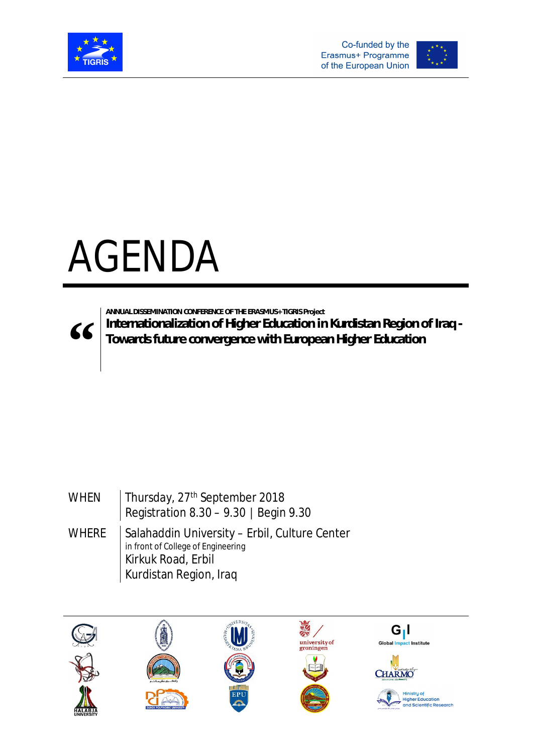



## AGENDA



**" Internationalization of Higher Education in Kurdistan Region of Iraq - Towards future convergence with European Higher Education**

## WHEN | Thursday, 27<sup>th</sup> September 2018 Registration 8.30 – 9.30 │ Begin 9.30 WHERE  $\parallel$  Salahaddin University – Erbil, Culture Center in front of College of Engineering Kirkuk Road, Erbil Kurdistan Region, Iraq